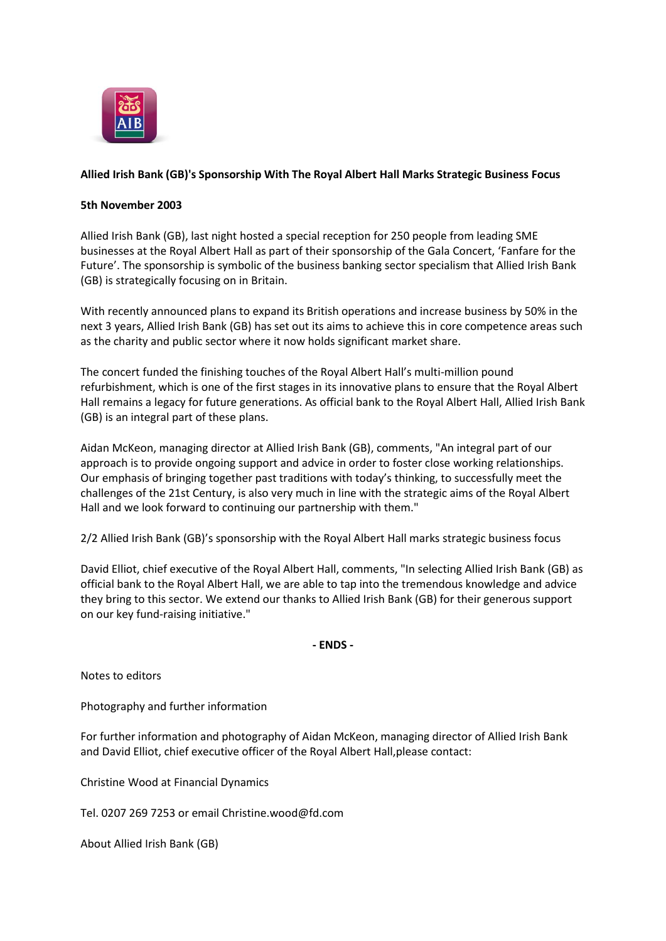

## **Allied Irish Bank (GB)'s Sponsorship With The Royal Albert Hall Marks Strategic Business Focus**

## **5th November 2003**

Allied Irish Bank (GB), last night hosted a special reception for 250 people from leading SME businesses at the Royal Albert Hall as part of their sponsorship of the Gala Concert, 'Fanfare for the Future'. The sponsorship is symbolic of the business banking sector specialism that Allied Irish Bank (GB) is strategically focusing on in Britain.

With recently announced plans to expand its British operations and increase business by 50% in the next 3 years, Allied Irish Bank (GB) has set out its aims to achieve this in core competence areas such as the charity and public sector where it now holds significant market share.

The concert funded the finishing touches of the Royal Albert Hall's multi-million pound refurbishment, which is one of the first stages in its innovative plans to ensure that the Royal Albert Hall remains a legacy for future generations. As official bank to the Royal Albert Hall, Allied Irish Bank (GB) is an integral part of these plans.

Aidan McKeon, managing director at Allied Irish Bank (GB), comments, "An integral part of our approach is to provide ongoing support and advice in order to foster close working relationships. Our emphasis of bringing together past traditions with today's thinking, to successfully meet the challenges of the 21st Century, is also very much in line with the strategic aims of the Royal Albert Hall and we look forward to continuing our partnership with them."

2/2 Allied Irish Bank (GB)'s sponsorship with the Royal Albert Hall marks strategic business focus

David Elliot, chief executive of the Royal Albert Hall, comments, "In selecting Allied Irish Bank (GB) as official bank to the Royal Albert Hall, we are able to tap into the tremendous knowledge and advice they bring to this sector. We extend our thanks to Allied Irish Bank (GB) for their generous support on our key fund-raising initiative."

**- ENDS -**

Notes to editors

Photography and further information

For further information and photography of Aidan McKeon, managing director of Allied Irish Bank and David Elliot, chief executive officer of the Royal Albert Hall,please contact:

Christine Wood at Financial Dynamics

Tel. 0207 269 7253 or email Christine.wood@fd.com

About Allied Irish Bank (GB)